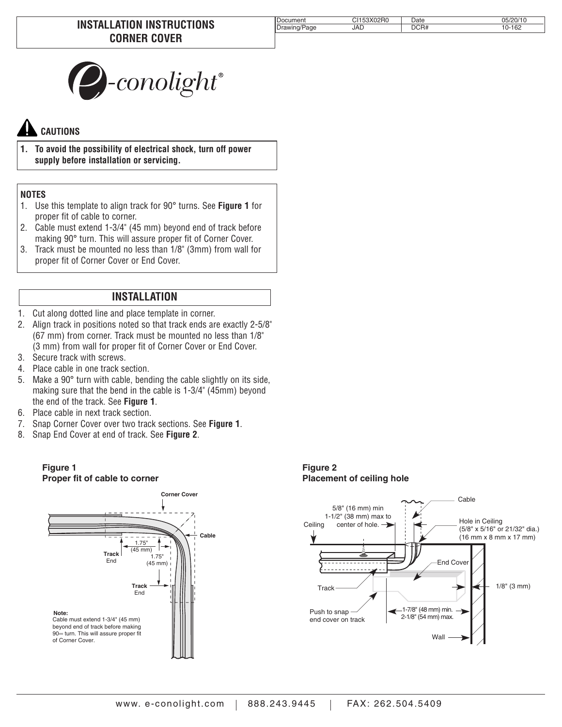| Iг                                   | $\bigcap$ | $\mathsf{Date}$ | ١U |
|--------------------------------------|-----------|-----------------|----|
| age<br>4 W.<br>$I^{\text{boundary}}$ | JAD       | R#              | 62 |



## **CAUTIONS**

**1. To avoid the possibility of electrical shock, turn off power supply before installation or servicing.**

## **NOTES**

- 1. Use this template to align track for 90° turns. See **Figure 1** for proper fit of cable to corner.
- 2. Cable must extend 1-3/4" (45 mm) beyond end of track before making 90° turn. This will assure proper fit of Corner Cover.
- 3. Track must be mounted no less than 1/8" (3mm) from wall for proper fit of Corner Cover or End Cover.

## **INSTALLATION**

- 1. Cut along dotted line and place template in corner.
- 2. Align track in positions noted so that track ends are exactly 2-5/8" (67 mm) from corner. Track must be mounted no less than 1/8" (3 mm) from wall for proper fit of Corner Cover or End Cover.
- 3. Secure track with screws.
- 4. Place cable in one track section.
- 5. Make a 90° turn with cable, bending the cable slightly on its side, making sure that the bend in the cable is 1-3/4" (45mm) beyond the end of the track. See **Figure 1**.
- 6. Place cable in next track section.
- 7. Snap Corner Cover over two track sections. See **Figure 1**.
- 8. Snap End Cover at end of track. See **Figure 2**.

## **Figure 1 Proper fit of cable to corner**



**Figure 2 Placement of ceiling hole**